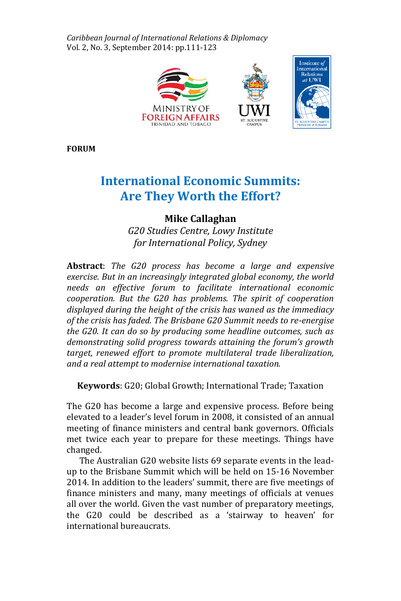*Caribbean Journal of International Relations & Diplomacy* Vol. 2, No. 3, September 2014: pp.111-123



**FORUM**

# **International Economic Summits: Are They Worth the Effort?**

# **Mike Callaghan**

*G20 Studies Centre, Lowy Institute for International Policy, Sydney*

**Abstract**: *The G20 process has become a large and expensive exercise. But in an increasingly integrated global economy, the world needs an effective forum to facilitate international economic cooperation. But the G20 has problems. The spirit of cooperation displayed during the height of the crisis has waned as the immediacy of the crisis has faded. The Brisbane G20 Summit needs to re-energise the G20. It can do so by producing some headline outcomes, such as demonstrating solid progress towards attaining the forum's growth target, renewed effort to promote multilateral trade liberalization, and a real attempt to modernise international taxation.*

**Keywords**: G20; Global Growth; International Trade; Taxation

The G20 has become a large and expensive process. Before being elevated to a leader's level forum in 2008, it consisted of an annual meeting of finance ministers and central bank governors. Officials met twice each year to prepare for these meetings. Things have changed.

The Australian G20 website lists 69 separate events in the leadup to the Brisbane Summit which will be held on 15-16 November 2014. In addition to the leaders' summit, there are five meetings of finance ministers and many, many meetings of officials at venues all over the world. Given the vast number of preparatory meetings, the G20 could be described as a 'stairway to heaven' for international bureaucrats.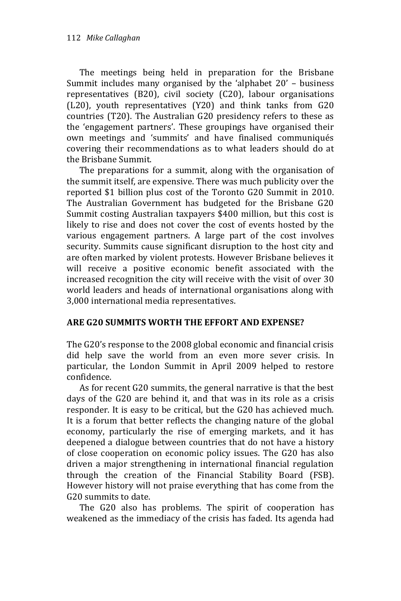The meetings being held in preparation for the Brisbane Summit includes many organised by the 'alphabet 20' – business representatives (B20), civil society (C20), labour organisations (L20), youth representatives (Y20) and think tanks from G20 countries (T20). The Australian G20 presidency refers to these as the 'engagement partners'. These groupings have organised their own meetings and 'summits' and have finalised communiqués covering their recommendations as to what leaders should do at the Brisbane Summit.

The preparations for a summit, along with the organisation of the summit itself, are expensive. There was much publicity over the reported \$1 billion plus cost of the Toronto G20 Summit in 2010. The Australian Government has budgeted for the Brisbane G20 Summit costing Australian taxpayers \$400 million, but this cost is likely to rise and does not cover the cost of events hosted by the various engagement partners. A large part of the cost involves security. Summits cause significant disruption to the host city and are often marked by violent protests. However Brisbane believes it will receive a positive economic benefit associated with the increased recognition the city will receive with the visit of over 30 world leaders and heads of international organisations along with 3,000 international media representatives.

#### **ARE G20 SUMMITS WORTH THE EFFORT AND EXPENSE?**

The G20's response to the 2008 global economic and financial crisis did help save the world from an even more sever crisis. In particular, the London Summit in April 2009 helped to restore confidence.

As for recent G20 summits, the general narrative is that the best days of the G20 are behind it, and that was in its role as a crisis responder. It is easy to be critical, but the G20 has achieved much. It is a forum that better reflects the changing nature of the global economy, particularly the rise of emerging markets, and it has deepened a dialogue between countries that do not have a history of close cooperation on economic policy issues. The G20 has also driven a major strengthening in international financial regulation through the creation of the Financial Stability Board (FSB). However history will not praise everything that has come from the G20 summits to date.

The G20 also has problems. The spirit of cooperation has weakened as the immediacy of the crisis has faded. Its agenda had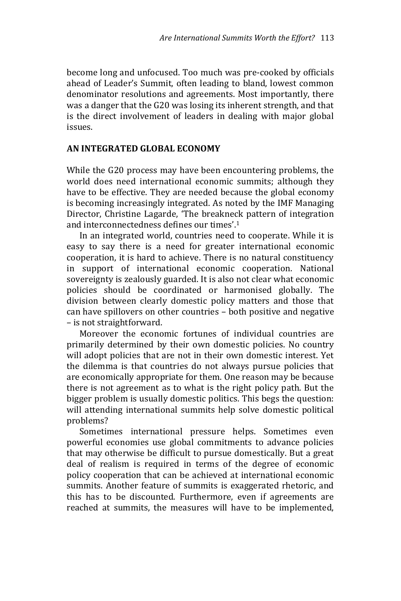become long and unfocused. Too much was pre-cooked by officials ahead of Leader's Summit, often leading to bland, lowest common denominator resolutions and agreements. Most importantly, there was a danger that the G20 was losing its inherent strength, and that is the direct involvement of leaders in dealing with major global issues.

#### **AN INTEGRATED GLOBAL ECONOMY**

While the G20 process may have been encountering problems, the world does need international economic summits; although they have to be effective. They are needed because the global economy is becoming increasingly integrated. As noted by the IMF Managing Director, Christine Lagarde, 'The breakneck pattern of integration and interconnectedness defines our times'. 1

In an integrated world, countries need to cooperate. While it is easy to say there is a need for greater international economic cooperation, it is hard to achieve. There is no natural constituency in support of international economic cooperation. National sovereignty is zealously guarded. It is also not clear what economic policies should be coordinated or harmonised globally. The division between clearly domestic policy matters and those that can have spillovers on other countries – both positive and negative – is not straightforward.

Moreover the economic fortunes of individual countries are primarily determined by their own domestic policies. No country will adopt policies that are not in their own domestic interest. Yet the dilemma is that countries do not always pursue policies that are economically appropriate for them. One reason may be because there is not agreement as to what is the right policy path. But the bigger problem is usually domestic politics. This begs the question: will attending international summits help solve domestic political problems?

Sometimes international pressure helps. Sometimes even powerful economies use global commitments to advance policies that may otherwise be difficult to pursue domestically. But a great deal of realism is required in terms of the degree of economic policy cooperation that can be achieved at international economic summits. Another feature of summits is exaggerated rhetoric, and this has to be discounted. Furthermore, even if agreements are reached at summits, the measures will have to be implemented,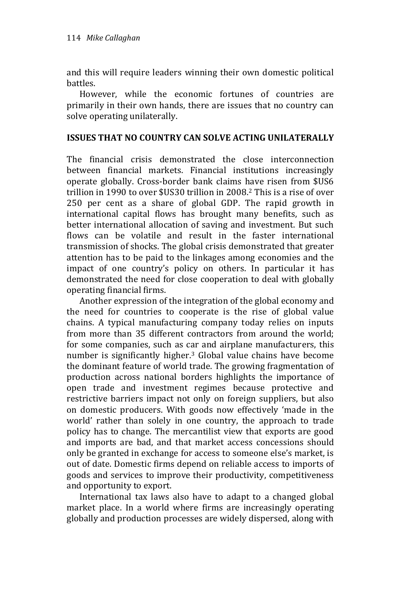and this will require leaders winning their own domestic political battles.

However, while the economic fortunes of countries are primarily in their own hands, there are issues that no country can solve operating unilaterally.

#### **ISSUES THAT NO COUNTRY CAN SOLVE ACTING UNILATERALLY**

The financial crisis demonstrated the close interconnection between financial markets. Financial institutions increasingly operate globally. Cross-border bank claims have risen from \$US6 trillion in 1990 to over \$US30 trillion in 2008.<sup>2</sup> This is a rise of over 250 per cent as a share of global GDP. The rapid growth in international capital flows has brought many benefits, such as better international allocation of saving and investment. But such flows can be volatile and result in the faster international transmission of shocks. The global crisis demonstrated that greater attention has to be paid to the linkages among economies and the impact of one country's policy on others. In particular it has demonstrated the need for close cooperation to deal with globally operating financial firms.

Another expression of the integration of the global economy and the need for countries to cooperate is the rise of global value chains. A typical manufacturing company today relies on inputs from more than 35 different contractors from around the world; for some companies, such as car and airplane manufacturers, this number is significantly higher.<sup>3</sup> Global value chains have become the dominant feature of world trade. The growing fragmentation of production across national borders highlights the importance of open trade and investment regimes because protective and restrictive barriers impact not only on foreign suppliers, but also on domestic producers. With goods now effectively 'made in the world' rather than solely in one country, the approach to trade policy has to change. The mercantilist view that exports are good and imports are bad, and that market access concessions should only be granted in exchange for access to someone else's market, is out of date. Domestic firms depend on reliable access to imports of goods and services to improve their productivity, competitiveness and opportunity to export.

International tax laws also have to adapt to a changed global market place. In a world where firms are increasingly operating globally and production processes are widely dispersed, along with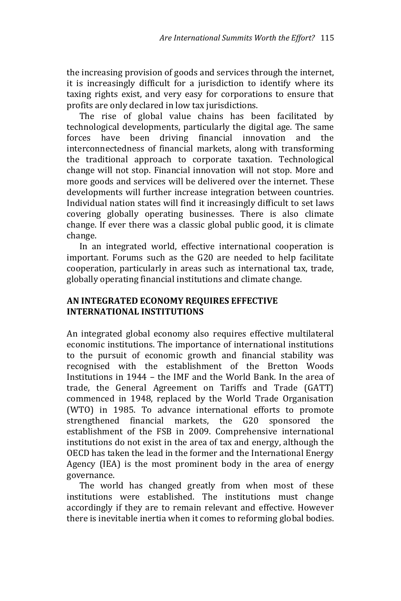the increasing provision of goods and services through the internet, it is increasingly difficult for a jurisdiction to identify where its taxing rights exist, and very easy for corporations to ensure that profits are only declared in low tax jurisdictions.

The rise of global value chains has been facilitated by technological developments, particularly the digital age. The same forces have been driving financial innovation and the interconnectedness of financial markets, along with transforming the traditional approach to corporate taxation. Technological change will not stop. Financial innovation will not stop. More and more goods and services will be delivered over the internet. These developments will further increase integration between countries. Individual nation states will find it increasingly difficult to set laws covering globally operating businesses. There is also climate change. If ever there was a classic global public good, it is climate change.

In an integrated world, effective international cooperation is important. Forums such as the G20 are needed to help facilitate cooperation, particularly in areas such as international tax, trade, globally operating financial institutions and climate change.

## **AN INTEGRATED ECONOMY REQUIRES EFFECTIVE INTERNATIONAL INSTITUTIONS**

An integrated global economy also requires effective multilateral economic institutions. The importance of international institutions to the pursuit of economic growth and financial stability was recognised with the establishment of the Bretton Woods Institutions in 1944 – the IMF and the World Bank. In the area of trade, the General Agreement on Tariffs and Trade (GATT) commenced in 1948, replaced by the World Trade Organisation (WTO) in 1985. To advance international efforts to promote strengthened financial markets, the G20 sponsored the establishment of the FSB in 2009. Comprehensive international institutions do not exist in the area of tax and energy, although the OECD has taken the lead in the former and the International Energy Agency (IEA) is the most prominent body in the area of energy governance.

The world has changed greatly from when most of these institutions were established. The institutions must change accordingly if they are to remain relevant and effective. However there is inevitable inertia when it comes to reforming global bodies.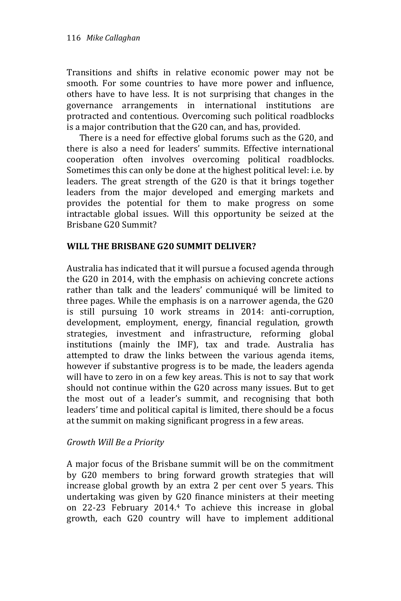Transitions and shifts in relative economic power may not be smooth. For some countries to have more power and influence, others have to have less. It is not surprising that changes in the governance arrangements in international institutions are protracted and contentious. Overcoming such political roadblocks is a major contribution that the G20 can, and has, provided.

There is a need for effective global forums such as the G20, and there is also a need for leaders' summits. Effective international cooperation often involves overcoming political roadblocks. Sometimes this can only be done at the highest political level: i.e. by leaders. The great strength of the G20 is that it brings together leaders from the major developed and emerging markets and provides the potential for them to make progress on some intractable global issues. Will this opportunity be seized at the Brisbane G20 Summit?

#### **WILL THE BRISBANE G20 SUMMIT DELIVER?**

Australia has indicated that it will pursue a focused agenda through the G20 in 2014, with the emphasis on achieving concrete actions rather than talk and the leaders' communiqué will be limited to three pages. While the emphasis is on a narrower agenda, the G20 is still pursuing 10 work streams in 2014: anti-corruption, development, employment, energy, financial regulation, growth strategies, investment and infrastructure, reforming global institutions (mainly the IMF), tax and trade. Australia has attempted to draw the links between the various agenda items, however if substantive progress is to be made, the leaders agenda will have to zero in on a few key areas. This is not to say that work should not continue within the G20 across many issues. But to get the most out of a leader's summit, and recognising that both leaders' time and political capital is limited, there should be a focus at the summit on making significant progress in a few areas.

#### *Growth Will Be a Priority*

A major focus of the Brisbane summit will be on the commitment by G20 members to bring forward growth strategies that will increase global growth by an extra 2 per cent over 5 years. This undertaking was given by G20 finance ministers at their meeting on 22-23 February 2014.<sup>4</sup> To achieve this increase in global growth, each G20 country will have to implement additional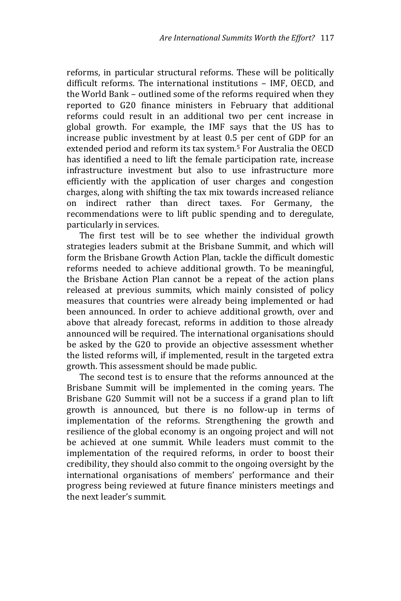reforms, in particular structural reforms. These will be politically difficult reforms. The international institutions – IMF, OECD, and the World Bank – outlined some of the reforms required when they reported to G20 finance ministers in February that additional reforms could result in an additional two per cent increase in global growth. For example, the IMF says that the US has to increase public investment by at least 0.5 per cent of GDP for an extended period and reform its tax system.<sup>5</sup> For Australia the OECD has identified a need to lift the female participation rate, increase infrastructure investment but also to use infrastructure more efficiently with the application of user charges and congestion charges, along with shifting the tax mix towards increased reliance on indirect rather than direct taxes. For Germany, the recommendations were to lift public spending and to deregulate, particularly in services.

The first test will be to see whether the individual growth strategies leaders submit at the Brisbane Summit, and which will form the Brisbane Growth Action Plan, tackle the difficult domestic reforms needed to achieve additional growth. To be meaningful, the Brisbane Action Plan cannot be a repeat of the action plans released at previous summits, which mainly consisted of policy measures that countries were already being implemented or had been announced. In order to achieve additional growth, over and above that already forecast, reforms in addition to those already announced will be required. The international organisations should be asked by the G20 to provide an objective assessment whether the listed reforms will, if implemented, result in the targeted extra growth. This assessment should be made public.

The second test is to ensure that the reforms announced at the Brisbane Summit will be implemented in the coming years. The Brisbane G20 Summit will not be a success if a grand plan to lift growth is announced, but there is no follow-up in terms of implementation of the reforms. Strengthening the growth and resilience of the global economy is an ongoing project and will not be achieved at one summit. While leaders must commit to the implementation of the required reforms, in order to boost their credibility, they should also commit to the ongoing oversight by the international organisations of members' performance and their progress being reviewed at future finance ministers meetings and the next leader's summit.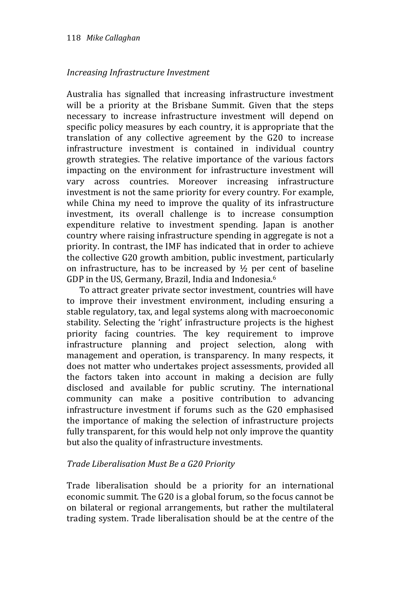#### *Increasing Infrastructure Investment*

Australia has signalled that increasing infrastructure investment will be a priority at the Brisbane Summit. Given that the steps necessary to increase infrastructure investment will depend on specific policy measures by each country, it is appropriate that the translation of any collective agreement by the G20 to increase infrastructure investment is contained in individual country growth strategies. The relative importance of the various factors impacting on the environment for infrastructure investment will vary across countries. Moreover increasing infrastructure investment is not the same priority for every country. For example, while China my need to improve the quality of its infrastructure investment, its overall challenge is to increase consumption expenditure relative to investment spending. Japan is another country where raising infrastructure spending in aggregate is not a priority. In contrast, the IMF has indicated that in order to achieve the collective G20 growth ambition, public investment, particularly on infrastructure, has to be increased by  $\frac{1}{2}$  per cent of baseline GDP in the US, Germany, Brazil, India and Indonesia.<sup>6</sup>

To attract greater private sector investment, countries will have to improve their investment environment, including ensuring a stable regulatory, tax, and legal systems along with macroeconomic stability. Selecting the 'right' infrastructure projects is the highest priority facing countries. The key requirement to improve infrastructure planning and project selection, along with management and operation, is transparency. In many respects, it does not matter who undertakes project assessments, provided all the factors taken into account in making a decision are fully disclosed and available for public scrutiny. The international community can make a positive contribution to advancing infrastructure investment if forums such as the G20 emphasised the importance of making the selection of infrastructure projects fully transparent, for this would help not only improve the quantity but also the quality of infrastructure investments.

#### *Trade Liberalisation Must Be a G20 Priority*

Trade liberalisation should be a priority for an international economic summit. The G20 is a global forum, so the focus cannot be on bilateral or regional arrangements, but rather the multilateral trading system. Trade liberalisation should be at the centre of the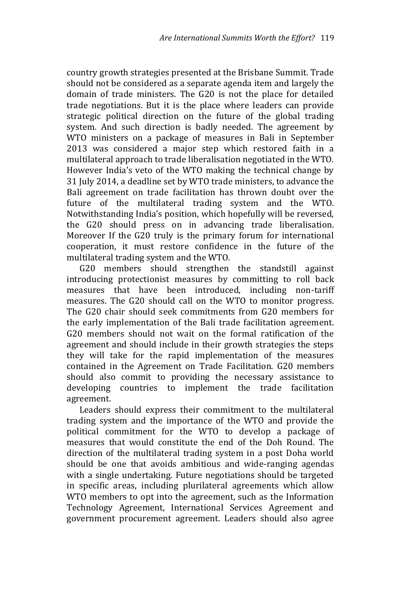country growth strategies presented at the Brisbane Summit. Trade should not be considered as a separate agenda item and largely the domain of trade ministers. The G20 is not the place for detailed trade negotiations. But it is the place where leaders can provide strategic political direction on the future of the global trading system. And such direction is badly needed. The agreement by WTO ministers on a package of measures in Bali in September 2013 was considered a major step which restored faith in a multilateral approach to trade liberalisation negotiated in the WTO. However India's veto of the WTO making the technical change by 31 July 2014, a deadline set by WTO trade ministers, to advance the Bali agreement on trade facilitation has thrown doubt over the future of the multilateral trading system and the WTO. Notwithstanding India's position, which hopefully will be reversed, the G20 should press on in advancing trade liberalisation. Moreover If the G20 truly is the primary forum for international cooperation, it must restore confidence in the future of the multilateral trading system and the WTO.

G20 members should strengthen the standstill against introducing protectionist measures by committing to roll back measures that have been introduced, including non-tariff measures. The G20 should call on the WTO to monitor progress. The G20 chair should seek commitments from G20 members for the early implementation of the Bali trade facilitation agreement. G20 members should not wait on the formal ratification of the agreement and should include in their growth strategies the steps they will take for the rapid implementation of the measures contained in the Agreement on Trade Facilitation. G20 members should also commit to providing the necessary assistance to developing countries to implement the trade facilitation agreement.

Leaders should express their commitment to the multilateral trading system and the importance of the WTO and provide the political commitment for the WTO to develop a package of measures that would constitute the end of the Doh Round. The direction of the multilateral trading system in a post Doha world should be one that avoids ambitious and wide-ranging agendas with a single undertaking. Future negotiations should be targeted in specific areas, including plurilateral agreements which allow WTO members to opt into the agreement, such as the Information Technology Agreement, International Services Agreement and government procurement agreement. Leaders should also agree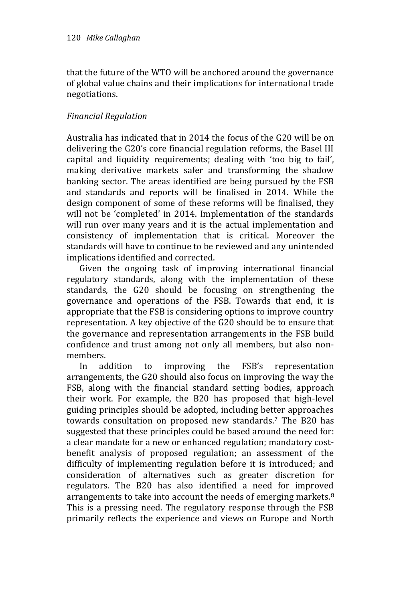that the future of the WTO will be anchored around the governance of global value chains and their implications for international trade negotiations.

### *Financial Regulation*

Australia has indicated that in 2014 the focus of the G20 will be on delivering the G20's core financial regulation reforms, the Basel III capital and liquidity requirements; dealing with 'too big to fail', making derivative markets safer and transforming the shadow banking sector. The areas identified are being pursued by the FSB and standards and reports will be finalised in 2014. While the design component of some of these reforms will be finalised, they will not be 'completed' in 2014. Implementation of the standards will run over many years and it is the actual implementation and consistency of implementation that is critical. Moreover the standards will have to continue to be reviewed and any unintended implications identified and corrected.

Given the ongoing task of improving international financial regulatory standards, along with the implementation of these standards, the G20 should be focusing on strengthening the governance and operations of the FSB. Towards that end, it is appropriate that the FSB is considering options to improve country representation. A key objective of the G20 should be to ensure that the governance and representation arrangements in the FSB build confidence and trust among not only all members, but also nonmembers.

In addition to improving the FSB's representation arrangements, the G20 should also focus on improving the way the FSB, along with the financial standard setting bodies, approach their work. For example, the B20 has proposed that high-level guiding principles should be adopted, including better approaches towards consultation on proposed new standards.<sup>7</sup> The B20 has suggested that these principles could be based around the need for: a clear mandate for a new or enhanced regulation; mandatory costbenefit analysis of proposed regulation; an assessment of the difficulty of implementing regulation before it is introduced; and consideration of alternatives such as greater discretion for regulators. The B20 has also identified a need for improved arrangements to take into account the needs of emerging markets.<sup>8</sup> This is a pressing need. The regulatory response through the FSB primarily reflects the experience and views on Europe and North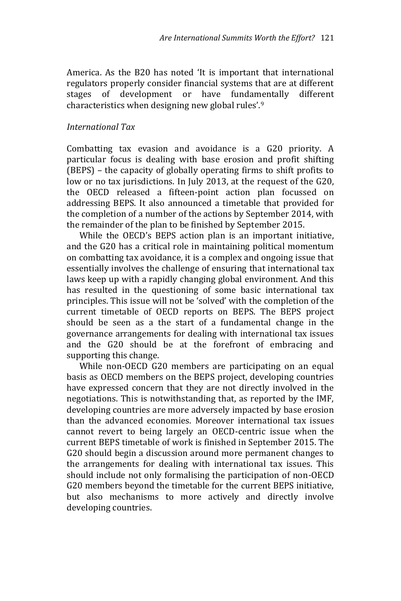America. As the B20 has noted 'It is important that international regulators properly consider financial systems that are at different stages of development or have fundamentally different characteristics when designing new global rules'.<sup>9</sup>

#### *International Tax*

Combatting tax evasion and avoidance is a G20 priority. A particular focus is dealing with base erosion and profit shifting (BEPS) – the capacity of globally operating firms to shift profits to low or no tax jurisdictions. In July 2013, at the request of the G20, the OECD released a fifteen-point action plan focussed on addressing BEPS. It also announced a timetable that provided for the completion of a number of the actions by September 2014, with the remainder of the plan to be finished by September 2015.

While the OECD's BEPS action plan is an important initiative, and the G20 has a critical role in maintaining political momentum on combatting tax avoidance, it is a complex and ongoing issue that essentially involves the challenge of ensuring that international tax laws keep up with a rapidly changing global environment. And this has resulted in the questioning of some basic international tax principles. This issue will not be 'solved' with the completion of the current timetable of OECD reports on BEPS. The BEPS project should be seen as a the start of a fundamental change in the governance arrangements for dealing with international tax issues and the G20 should be at the forefront of embracing and supporting this change.

While non-OECD G20 members are participating on an equal basis as OECD members on the BEPS project, developing countries have expressed concern that they are not directly involved in the negotiations. This is notwithstanding that, as reported by the IMF, developing countries are more adversely impacted by base erosion than the advanced economies. Moreover international tax issues cannot revert to being largely an OECD-centric issue when the current BEPS timetable of work is finished in September 2015. The G20 should begin a discussion around more permanent changes to the arrangements for dealing with international tax issues. This should include not only formalising the participation of non-OECD G20 members beyond the timetable for the current BEPS initiative, but also mechanisms to more actively and directly involve developing countries.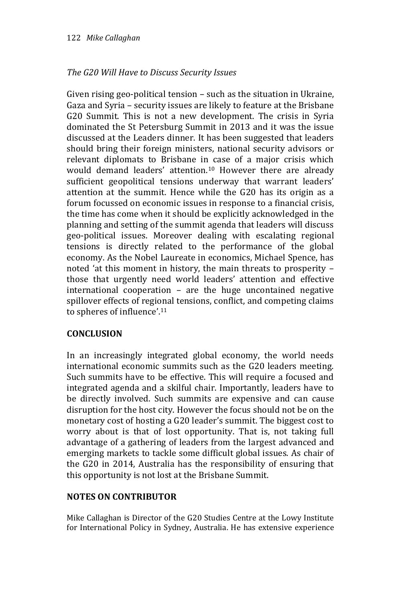### *The G20 Will Have to Discuss Security Issues*

Given rising geo-political tension – such as the situation in Ukraine, Gaza and Syria – security issues are likely to feature at the Brisbane G20 Summit. This is not a new development. The crisis in Syria dominated the St Petersburg Summit in 2013 and it was the issue discussed at the Leaders dinner. It has been suggested that leaders should bring their foreign ministers, national security advisors or relevant diplomats to Brisbane in case of a major crisis which would demand leaders' attention.<sup>10</sup> However there are already sufficient geopolitical tensions underway that warrant leaders' attention at the summit. Hence while the G20 has its origin as a forum focussed on economic issues in response to a financial crisis, the time has come when it should be explicitly acknowledged in the planning and setting of the summit agenda that leaders will discuss geo-political issues. Moreover dealing with escalating regional tensions is directly related to the performance of the global economy. As the Nobel Laureate in economics, Michael Spence, has noted 'at this moment in history, the main threats to prosperity – those that urgently need world leaders' attention and effective international cooperation – are the huge uncontained negative spillover effects of regional tensions, conflict, and competing claims to spheres of influence'. 11

#### **CONCLUSION**

In an increasingly integrated global economy, the world needs international economic summits such as the G20 leaders meeting. Such summits have to be effective. This will require a focused and integrated agenda and a skilful chair. Importantly, leaders have to be directly involved. Such summits are expensive and can cause disruption for the host city. However the focus should not be on the monetary cost of hosting a G20 leader's summit. The biggest cost to worry about is that of lost opportunity. That is, not taking full advantage of a gathering of leaders from the largest advanced and emerging markets to tackle some difficult global issues. As chair of the G20 in 2014, Australia has the responsibility of ensuring that this opportunity is not lost at the Brisbane Summit.

#### **NOTES ON CONTRIBUTOR**

Mike Callaghan is Director of the G20 Studies Centre at the Lowy Institute for International Policy in Sydney, Australia. He has extensive experience